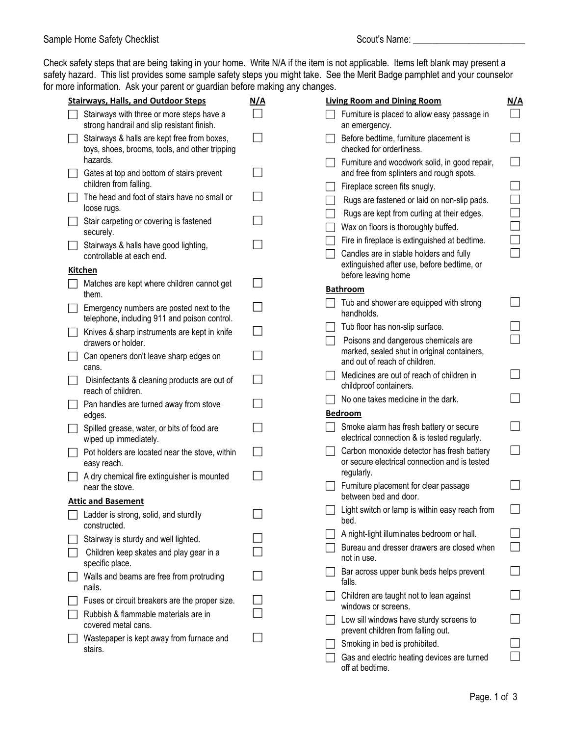Check safety steps that are being taking in your home. Write N/A if the item is not applicable. Items left blank may present a safety hazard. This list provides some sample safety steps you might take. See the Merit Badge pamphlet and your counselor for more information. Ask your parent or guardian before making any changes.

| <b>Stairways, Halls, and Outdoor Steps</b>                                                    | <u>N/A</u> | <b>Living Room and Dining Room</b>                                                          | <u>N/A</u>               |
|-----------------------------------------------------------------------------------------------|------------|---------------------------------------------------------------------------------------------|--------------------------|
| Stairways with three or more steps have a<br>strong handrail and slip resistant finish.       |            | Furniture is placed to allow easy passage in<br>an emergency.                               | $\Box$                   |
| Stairways & halls are kept free from boxes,<br>toys, shoes, brooms, tools, and other tripping |            | Before bedtime, furniture placement is<br>checked for orderliness.                          | $\blacksquare$           |
| hazards.<br>Gates at top and bottom of stairs prevent                                         |            | Furniture and woodwork solid, in good repair,<br>and free from splinters and rough spots.   | $\blacksquare$           |
| children from falling.                                                                        |            | Fireplace screen fits snugly.                                                               |                          |
| The head and foot of stairs have no small or<br>loose rugs.                                   |            | Rugs are fastened or laid on non-slip pads.                                                 | $\Box$                   |
| Stair carpeting or covering is fastened<br>securely.                                          |            | Rugs are kept from curling at their edges.<br>Wax on floors is thoroughly buffed.           | $\overline{\phantom{a}}$ |
| Stairways & halls have good lighting,                                                         |            | Fire in fireplace is extinguished at bedtime.                                               |                          |
| controllable at each end.                                                                     |            | Candles are in stable holders and fully<br>extinguished after use, before bedtime, or       | Г                        |
| Kitchen                                                                                       |            | before leaving home                                                                         |                          |
| Matches are kept where children cannot get<br>them.                                           |            | <b>Bathroom</b>                                                                             |                          |
| Emergency numbers are posted next to the<br>telephone, including 911 and poison control.      |            | Tub and shower are equipped with strong<br>handholds.                                       |                          |
| Knives & sharp instruments are kept in knife                                                  |            | Tub floor has non-slip surface.                                                             |                          |
| drawers or holder.                                                                            |            | Poisons and dangerous chemicals are<br>marked, sealed shut in original containers,          |                          |
| Can openers don't leave sharp edges on<br>cans.                                               |            | and out of reach of children.                                                               |                          |
| Disinfectants & cleaning products are out of<br>reach of children.                            |            | Medicines are out of reach of children in<br>childproof containers.                         | $\Box$                   |
| Pan handles are turned away from stove                                                        |            | No one takes medicine in the dark.                                                          |                          |
| edges.                                                                                        |            | <b>Bedroom</b>                                                                              |                          |
| Spilled grease, water, or bits of food are<br>wiped up immediately.                           |            | Smoke alarm has fresh battery or secure<br>electrical connection & is tested regularly.     | $\sim$                   |
| Pot holders are located near the stove, within<br>easy reach.                                 |            | Carbon monoxide detector has fresh battery<br>or secure electrical connection and is tested | $\Box$                   |
| A dry chemical fire extinguisher is mounted                                                   |            | regularly.                                                                                  |                          |
| near the stove.<br><b>Attic and Basement</b>                                                  |            | Furniture placement for clear passage<br>between bed and door.                              |                          |
| Ladder is strong, solid, and sturdily<br>constructed.                                         |            | Light switch or lamp is within easy reach from<br>bed.                                      |                          |
| Stairway is sturdy and well lighted.                                                          |            | A night-light illuminates bedroom or hall.                                                  |                          |
| Children keep skates and play gear in a<br>specific place.                                    |            | Bureau and dresser drawers are closed when<br>not in use.                                   | $\Box$                   |
| Walls and beams are free from protruding<br>nails.                                            |            | Bar across upper bunk beds helps prevent<br>falls.                                          |                          |
| Fuses or circuit breakers are the proper size.                                                |            | Children are taught not to lean against                                                     |                          |
| Rubbish & flammable materials are in                                                          |            | windows or screens.<br>Low sill windows have sturdy screens to                              |                          |
| covered metal cans.                                                                           |            | prevent children from falling out.                                                          |                          |
| Wastepaper is kept away from furnace and<br>stairs.                                           |            | Smoking in bed is prohibited.                                                               |                          |
|                                                                                               |            | Gas and electric heating devices are turned<br>off at bedtime.                              |                          |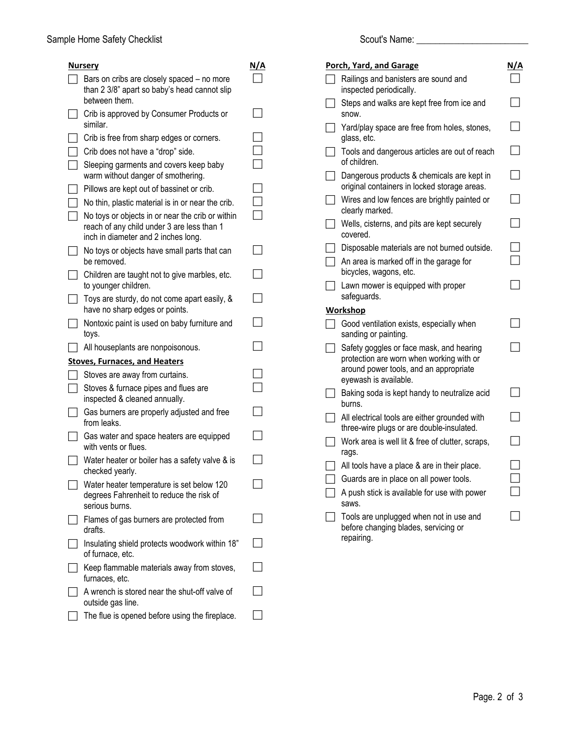| Nursery                                                                                                                               | N/A |
|---------------------------------------------------------------------------------------------------------------------------------------|-----|
| Bars on cribs are closely spaced - no more<br>than 2 3/8" apart so baby's head cannot slip<br>between them.                           |     |
| Crib is approved by Consumer Products or<br>similar.                                                                                  |     |
| Crib is free from sharp edges or corners.                                                                                             |     |
| Crib does not have a "drop" side.                                                                                                     |     |
| Sleeping garments and covers keep baby<br>warm without danger of smothering.                                                          |     |
| Pillows are kept out of bassinet or crib.                                                                                             |     |
| No thin, plastic material is in or near the crib.                                                                                     |     |
| No toys or objects in or near the crib or within<br>reach of any child under 3 are less than 1<br>inch in diameter and 2 inches long. |     |
| No toys or objects have small parts that can<br>be removed.                                                                           |     |
| Children are taught not to give marbles, etc.<br>to younger children.                                                                 |     |
| Toys are sturdy, do not come apart easily, &<br>have no sharp edges or points.                                                        |     |
| Nontoxic paint is used on baby furniture and<br>toys.                                                                                 |     |
| All houseplants are nonpoisonous.                                                                                                     |     |
| <b>Stoves, Furnaces, and Heaters</b>                                                                                                  |     |
| Stoves are away from curtains.                                                                                                        |     |
| Stoves & furnace pipes and flues are<br>inspected & cleaned annually.                                                                 |     |
| Gas burners are properly adjusted and free<br>from leaks.                                                                             |     |
| Gas water and space heaters are equipped<br>with vents or flues.                                                                      |     |
| Water heater or boiler has a safety valve & is<br>checked yearly.                                                                     |     |
| Water heater temperature is set below 120<br>degrees Fahrenheit to reduce the risk of<br>serious burns.                               |     |
| Flames of gas burners are protected from<br>drafts.                                                                                   |     |
| Insulating shield protects woodwork within 18"<br>of furnace, etc.                                                                    |     |
| Keep flammable materials away from stoves,<br>furnaces, etc.                                                                          |     |
| A wrench is stored near the shut-off valve of<br>outside gas line.                                                                    |     |
| The flue is opened before using the fireplace.                                                                                        |     |
|                                                                                                                                       |     |

| Porch, Yard, and Garage                                                                                                                                 | <u>N/A</u> |
|---------------------------------------------------------------------------------------------------------------------------------------------------------|------------|
| Railings and banisters are sound and<br>inspected periodically.                                                                                         |            |
| Steps and walks are kept free from ice and<br>snow.                                                                                                     |            |
| Yard/play space are free from holes, stones,<br>glass, etc.                                                                                             |            |
| Tools and dangerous articles are out of reach<br>of children.                                                                                           |            |
| Dangerous products & chemicals are kept in<br>original containers in locked storage areas.                                                              |            |
| Wires and low fences are brightly painted or<br>clearly marked.                                                                                         |            |
| Wells, cisterns, and pits are kept securely<br>covered.                                                                                                 |            |
| Disposable materials are not burned outside.                                                                                                            |            |
| An area is marked off in the garage for                                                                                                                 |            |
| bicycles, wagons, etc.                                                                                                                                  |            |
| Lawn mower is equipped with proper<br>safeguards.                                                                                                       |            |
| <b>Workshop</b>                                                                                                                                         |            |
| Good ventilation exists, especially when<br>sanding or painting.                                                                                        |            |
| Safety goggles or face mask, and hearing<br>protection are worn when working with or<br>around power tools, and an appropriate<br>eyewash is available. |            |
| Baking soda is kept handy to neutralize acid<br>burns.                                                                                                  |            |
| All electrical tools are either grounded with<br>three-wire plugs or are double-insulated.                                                              |            |
| Work area is well lit & free of clutter, scraps,<br>rags.                                                                                               |            |
| All tools have a place & are in their place.                                                                                                            |            |
| Guards are in place on all power tools.                                                                                                                 |            |
| A push stick is available for use with power                                                                                                            |            |
| saws.                                                                                                                                                   |            |